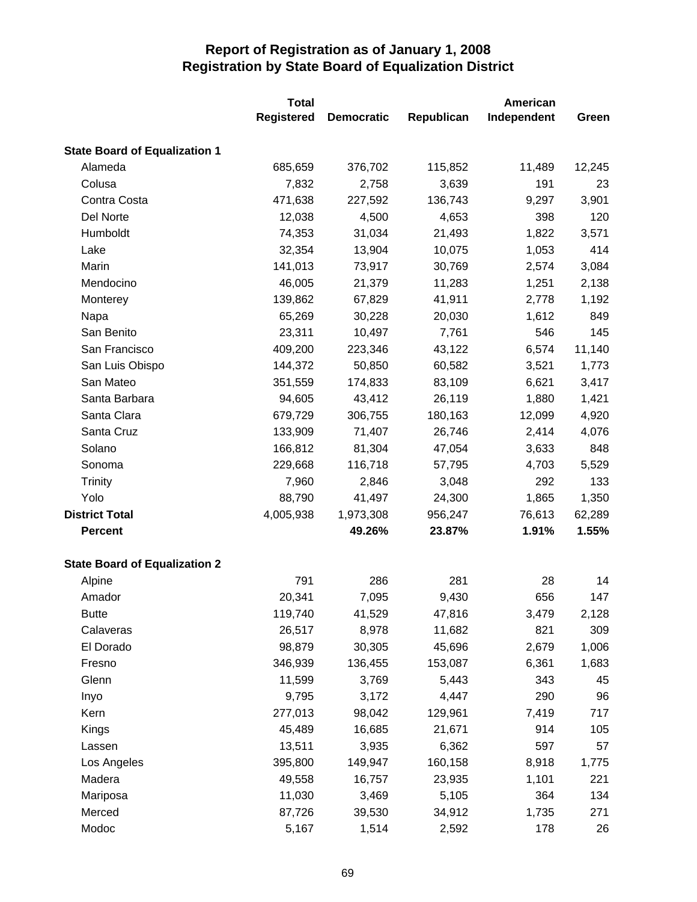|                                      | <b>Total</b><br><b>Registered</b> | <b>Democratic</b> | Republican | American<br>Independent | Green  |
|--------------------------------------|-----------------------------------|-------------------|------------|-------------------------|--------|
|                                      |                                   |                   |            |                         |        |
| <b>State Board of Equalization 1</b> |                                   |                   |            |                         |        |
| Alameda                              | 685,659                           | 376,702           | 115,852    | 11,489                  | 12,245 |
| Colusa                               | 7,832                             | 2,758             | 3,639      | 191                     | 23     |
| Contra Costa                         | 471,638                           | 227,592           | 136,743    | 9,297                   | 3,901  |
| Del Norte                            | 12,038                            | 4,500             | 4,653      | 398                     | 120    |
| Humboldt                             | 74,353                            | 31,034            | 21,493     | 1,822                   | 3,571  |
| Lake                                 | 32,354                            | 13,904            | 10,075     | 1,053                   | 414    |
| Marin                                | 141,013                           | 73,917            | 30,769     | 2,574                   | 3,084  |
| Mendocino                            | 46,005                            | 21,379            | 11,283     | 1,251                   | 2,138  |
| Monterey                             | 139,862                           | 67,829            | 41,911     | 2,778                   | 1,192  |
| Napa                                 | 65,269                            | 30,228            | 20,030     | 1,612                   | 849    |
| San Benito                           | 23,311                            | 10,497            | 7,761      | 546                     | 145    |
| San Francisco                        | 409,200                           | 223,346           | 43,122     | 6,574                   | 11,140 |
| San Luis Obispo                      | 144,372                           | 50,850            | 60,582     | 3,521                   | 1,773  |
| San Mateo                            | 351,559                           | 174,833           | 83,109     | 6,621                   | 3,417  |
| Santa Barbara                        | 94,605                            | 43,412            | 26,119     | 1,880                   | 1,421  |
| Santa Clara                          | 679,729                           | 306,755           | 180,163    | 12,099                  | 4,920  |
| Santa Cruz                           | 133,909                           | 71,407            | 26,746     | 2,414                   | 4,076  |
| Solano                               | 166,812                           | 81,304            | 47,054     | 3,633                   | 848    |
| Sonoma                               | 229,668                           | 116,718           | 57,795     | 4,703                   | 5,529  |
| Trinity                              | 7,960                             | 2,846             | 3,048      | 292                     | 133    |
| Yolo                                 | 88,790                            | 41,497            | 24,300     | 1,865                   | 1,350  |
| <b>District Total</b>                | 4,005,938                         | 1,973,308         | 956,247    | 76,613                  | 62,289 |
| <b>Percent</b>                       |                                   | 49.26%            | 23.87%     | 1.91%                   | 1.55%  |
| <b>State Board of Equalization 2</b> |                                   |                   |            |                         |        |
| Alpine                               | 791                               | 286               | 281        | 28                      | 14     |
| Amador                               | 20,341                            | 7,095             | 9,430      | 656                     | 147    |
| <b>Butte</b>                         | 119,740                           | 41,529            | 47,816     | 3,479                   | 2,128  |
| Calaveras                            | 26,517                            | 8,978             | 11,682     | 821                     | 309    |
| El Dorado                            | 98,879                            | 30,305            | 45,696     | 2,679                   | 1,006  |
| Fresno                               | 346,939                           | 136,455           | 153,087    | 6,361                   | 1,683  |
| Glenn                                | 11,599                            | 3,769             | 5,443      | 343                     | 45     |
| Inyo                                 | 9,795                             | 3,172             | 4,447      | 290                     | 96     |
| Kern                                 | 277,013                           | 98,042            | 129,961    | 7,419                   | 717    |
| Kings                                | 45,489                            | 16,685            | 21,671     | 914                     | 105    |
| Lassen                               | 13,511                            | 3,935             | 6,362      | 597                     | 57     |
| Los Angeles                          | 395,800                           | 149,947           | 160,158    | 8,918                   | 1,775  |
| Madera                               | 49,558                            | 16,757            | 23,935     | 1,101                   | 221    |
| Mariposa                             | 11,030                            | 3,469             | 5,105      | 364                     | 134    |
| Merced                               | 87,726                            | 39,530            | 34,912     | 1,735                   | 271    |
| Modoc                                | 5,167                             | 1,514             | 2,592      | 178                     | 26     |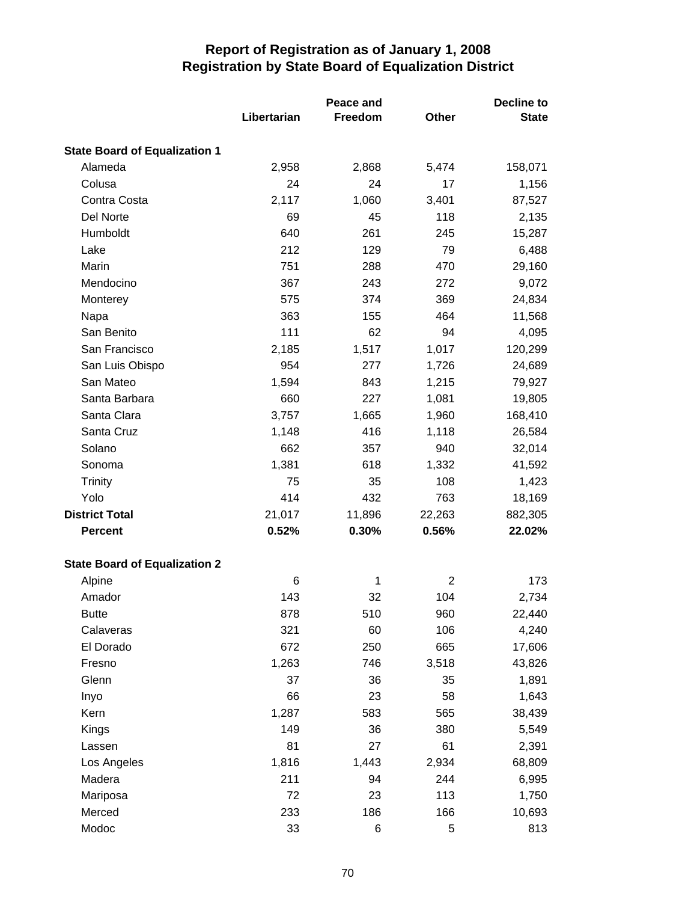|                                      |             | Peace and      | <b>Decline to</b> |              |  |
|--------------------------------------|-------------|----------------|-------------------|--------------|--|
|                                      | Libertarian | <b>Freedom</b> | Other             | <b>State</b> |  |
| <b>State Board of Equalization 1</b> |             |                |                   |              |  |
| Alameda                              | 2,958       | 2,868          | 5,474             | 158,071      |  |
| Colusa                               | 24          | 24             | 17                | 1,156        |  |
| Contra Costa                         | 2,117       | 1,060          | 3,401             | 87,527       |  |
| Del Norte                            | 69          | 45             | 118               | 2,135        |  |
| Humboldt                             | 640         | 261            | 245               | 15,287       |  |
| Lake                                 | 212         | 129            | 79                | 6,488        |  |
| Marin                                | 751         | 288            | 470               | 29,160       |  |
| Mendocino                            | 367         | 243            | 272               | 9,072        |  |
| Monterey                             | 575         | 374            | 369               | 24,834       |  |
| Napa                                 | 363         | 155            | 464               | 11,568       |  |
| San Benito                           | 111         | 62             | 94                | 4,095        |  |
| San Francisco                        | 2,185       | 1,517          | 1,017             | 120,299      |  |
| San Luis Obispo                      | 954         | 277            | 1,726             | 24,689       |  |
| San Mateo                            | 1,594       | 843            | 1,215             | 79,927       |  |
| Santa Barbara                        | 660         | 227            | 1,081             | 19,805       |  |
| Santa Clara                          | 3,757       | 1,665          | 1,960             | 168,410      |  |
| Santa Cruz                           | 1,148       | 416            | 1,118             | 26,584       |  |
| Solano                               | 662         | 357            | 940               | 32,014       |  |
| Sonoma                               | 1,381       | 618            | 1,332             | 41,592       |  |
| <b>Trinity</b>                       | 75          | 35             | 108               | 1,423        |  |
| Yolo                                 | 414         | 432            | 763               | 18,169       |  |
| <b>District Total</b>                | 21,017      | 11,896         | 22,263            | 882,305      |  |
| <b>Percent</b>                       | 0.52%       | 0.30%          | 0.56%             | 22.02%       |  |
| <b>State Board of Equalization 2</b> |             |                |                   |              |  |
| Alpine                               | 6           | 1              | $\overline{2}$    | 173          |  |
| Amador                               | 143         | 32             | 104               | 2,734        |  |
| <b>Butte</b>                         | 878         | 510            | 960               | 22,440       |  |
| Calaveras                            | 321         | 60             | 106               | 4,240        |  |
| El Dorado                            | 672         | 250            | 665               | 17,606       |  |
| Fresno                               | 1,263       | 746            | 3,518             | 43,826       |  |
| Glenn                                | 37          | 36             | 35                | 1,891        |  |
| Inyo                                 | 66          | 23             | 58                | 1,643        |  |
| Kern                                 | 1,287       | 583            | 565               | 38,439       |  |
| Kings                                | 149         | 36             | 380               | 5,549        |  |
| Lassen                               | 81          | 27             | 61                | 2,391        |  |
| Los Angeles                          | 1,816       | 1,443          | 2,934             | 68,809       |  |
| Madera                               | 211         | 94             | 244               | 6,995        |  |
| Mariposa                             | 72          | 23             | 113               | 1,750        |  |
| Merced                               | 233         | 186            | 166               | 10,693       |  |
| Modoc                                | 33          | 6              | 5                 | 813          |  |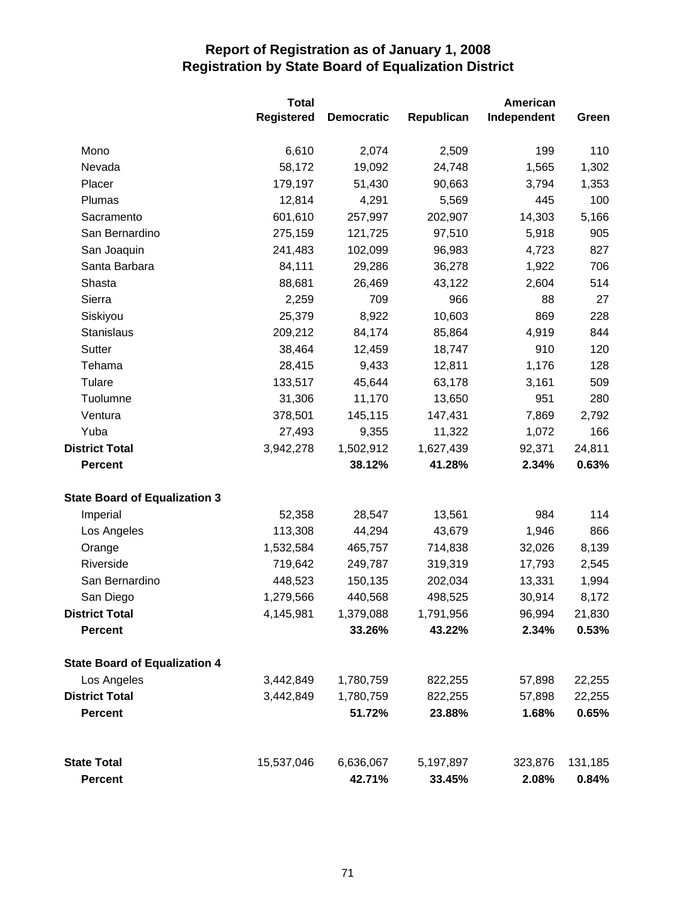|                                      | <b>Total</b>      |                   |            | American    |         |  |
|--------------------------------------|-------------------|-------------------|------------|-------------|---------|--|
|                                      | <b>Registered</b> | <b>Democratic</b> | Republican | Independent | Green   |  |
| Mono                                 | 6,610             | 2,074             | 2,509      | 199         | 110     |  |
| Nevada                               | 58,172            | 19,092            | 24,748     | 1,565       | 1,302   |  |
| Placer                               | 179,197           | 51,430            | 90,663     | 3,794       | 1,353   |  |
| Plumas                               | 12,814            | 4,291             | 5,569      | 445         | 100     |  |
| Sacramento                           | 601,610           | 257,997           | 202,907    | 14,303      | 5,166   |  |
| San Bernardino                       | 275,159           | 121,725           | 97,510     | 5,918       | 905     |  |
| San Joaquin                          | 241,483           | 102,099           | 96,983     | 4,723       | 827     |  |
| Santa Barbara                        | 84,111            | 29,286            | 36,278     | 1,922       | 706     |  |
| Shasta                               | 88,681            | 26,469            | 43,122     | 2,604       | 514     |  |
| Sierra                               | 2,259             | 709               | 966        | 88          | 27      |  |
| Siskiyou                             | 25,379            | 8,922             | 10,603     | 869         | 228     |  |
| Stanislaus                           | 209,212           | 84,174            | 85,864     | 4,919       | 844     |  |
| <b>Sutter</b>                        | 38,464            | 12,459            | 18,747     | 910         | 120     |  |
| Tehama                               | 28,415            | 9,433             | 12,811     | 1,176       | 128     |  |
| Tulare                               | 133,517           | 45,644            | 63,178     | 3,161       | 509     |  |
| Tuolumne                             | 31,306            | 11,170            | 13,650     | 951         | 280     |  |
| Ventura                              | 378,501           | 145,115           | 147,431    | 7,869       | 2,792   |  |
| Yuba                                 | 27,493            | 9,355             | 11,322     | 1,072       | 166     |  |
| <b>District Total</b>                | 3,942,278         | 1,502,912         | 1,627,439  | 92,371      | 24,811  |  |
| <b>Percent</b>                       |                   | 38.12%            | 41.28%     | 2.34%       | 0.63%   |  |
| <b>State Board of Equalization 3</b> |                   |                   |            |             |         |  |
| Imperial                             | 52,358            | 28,547            | 13,561     | 984         | 114     |  |
| Los Angeles                          | 113,308           | 44,294            | 43,679     | 1,946       | 866     |  |
| Orange                               | 1,532,584         | 465,757           | 714,838    | 32,026      | 8,139   |  |
| Riverside                            | 719,642           | 249,787           | 319,319    | 17,793      | 2,545   |  |
| San Bernardino                       | 448,523           | 150,135           | 202,034    | 13,331      | 1,994   |  |
| San Diego                            | 1,279,566         | 440,568           | 498,525    | 30,914      | 8,172   |  |
| <b>District Total</b>                | 4,145,981         | 1,379,088         | 1,791,956  | 96,994      | 21,830  |  |
| <b>Percent</b>                       |                   | 33.26%            | 43.22%     | 2.34%       | 0.53%   |  |
| <b>State Board of Equalization 4</b> |                   |                   |            |             |         |  |
| Los Angeles                          | 3,442,849         | 1,780,759         | 822,255    | 57,898      | 22,255  |  |
| <b>District Total</b>                | 3,442,849         | 1,780,759         | 822,255    | 57,898      | 22,255  |  |
| <b>Percent</b>                       |                   | 51.72%            | 23.88%     | 1.68%       | 0.65%   |  |
| <b>State Total</b>                   | 15,537,046        | 6,636,067         | 5,197,897  | 323,876     | 131,185 |  |
| <b>Percent</b>                       |                   | 42.71%            | 33.45%     | 2.08%       | 0.84%   |  |